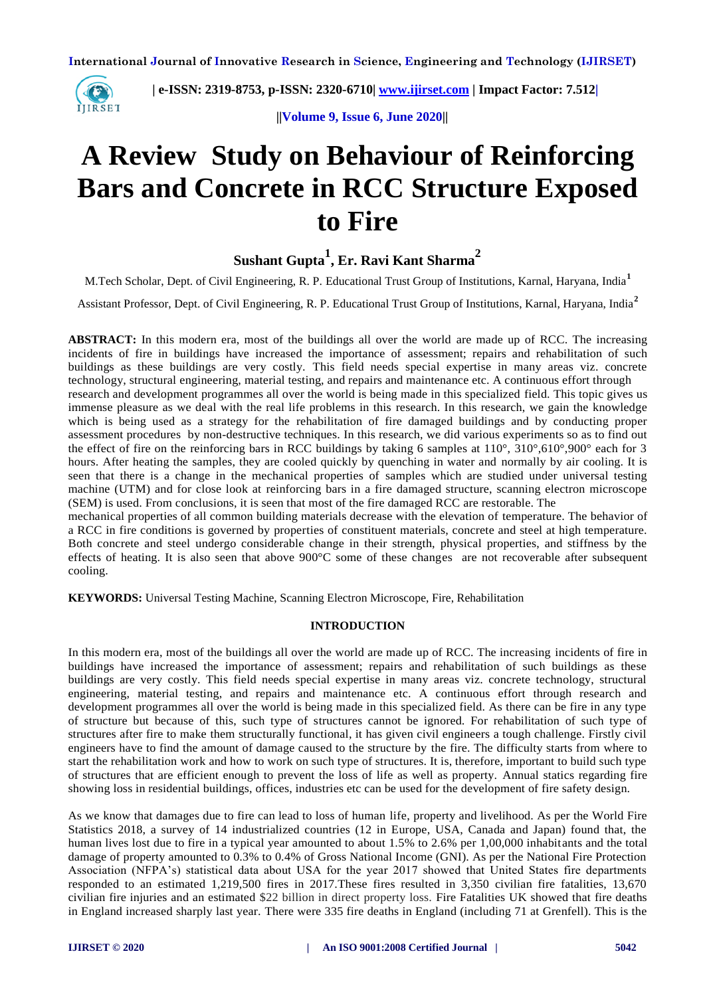

 **| e-ISSN: 2319-8753, p-ISSN: 2320-6710| [www.ijirset.com](http://www.ijirset.com/) | Impact Factor: 7.512|**

 **||Volume 9, Issue 6, June 2020||** 

# **A Review Study on Behaviour of Reinforcing Bars and Concrete in RCC Structure Exposed to Fire**

# **Sushant Gupta<sup>1</sup> , Er. Ravi Kant Sharma<sup>2</sup>**

M.Tech Scholar, Dept. of Civil Engineering, R. P. Educational Trust Group of Institutions, Karnal, Haryana, India**<sup>1</sup>**

Assistant Professor, Dept. of Civil Engineering, R. P. Educational Trust Group of Institutions, Karnal, Haryana, India**<sup>2</sup>**

**ABSTRACT:** In this modern era, most of the buildings all over the world are made up of RCC. The increasing incidents of fire in buildings have increased the importance of assessment; repairs and rehabilitation of such buildings as these buildings are very costly. This field needs special expertise in many areas viz. concrete technology, structural engineering, material testing, and repairs and maintenance etc. A continuous effort through research and development programmes all over the world is being made in this specialized field. This topic gives us immense pleasure as we deal with the real life problems in this research. In this research, we gain the knowledge which is being used as a strategy for the rehabilitation of fire damaged buildings and by conducting proper assessment procedures by non-destructive techniques. In this research, we did various experiments so as to find out the effect of fire on the reinforcing bars in RCC buildings by taking 6 samples at 110°, 310°,610°,900° each for 3 hours. After heating the samples, they are cooled quickly by quenching in water and normally by air cooling. It is seen that there is a change in the mechanical properties of samples which are studied under universal testing machine (UTM) and for close look at reinforcing bars in a fire damaged structure, scanning electron microscope (SEM) is used. From conclusions, it is seen that most of the fire damaged RCC are restorable. The

mechanical properties of all common building materials decrease with the elevation of temperature. The behavior of a RCC in fire conditions is governed by properties of constituent materials, concrete and steel at high temperature. Both concrete and steel undergo considerable change in their strength, physical properties, and stiffness by the effects of heating. It is also seen that above  $900^{\circ}$ C some of these changes are not recoverable after subsequent cooling.

**KEYWORDS:** Universal Testing Machine, Scanning Electron Microscope, Fire, Rehabilitation

# **INTRODUCTION**

In this modern era, most of the buildings all over the world are made up of RCC. The increasing incidents of fire in buildings have increased the importance of assessment; repairs and rehabilitation of such buildings as these buildings are very costly. This field needs special expertise in many areas viz. concrete technology, structural engineering, material testing, and repairs and maintenance etc. A continuous effort through research and development programmes all over the world is being made in this specialized field. As there can be fire in any type of structure but because of this, such type of structures cannot be ignored. For rehabilitation of such type of structures after fire to make them structurally functional, it has given civil engineers a tough challenge. Firstly civil engineers have to find the amount of damage caused to the structure by the fire. The difficulty starts from where to start the rehabilitation work and how to work on such type of structures. It is, therefore, important to build such type of structures that are efficient enough to prevent the loss of life as well as property. Annual statics regarding fire showing loss in residential buildings, offices, industries etc can be used for the development of fire safety design.

As we know that damages due to fire can lead to loss of human life, property and livelihood. As per the World Fire Statistics 2018, a survey of 14 industrialized countries (12 in Europe, USA, Canada and Japan) found that, the human lives lost due to fire in a typical year amounted to about 1.5% to 2.6% per 1,00,000 inhabitants and the total damage of property amounted to 0.3% to 0.4% of Gross National Income (GNI). As per the National Fire Protection Association (NFPA's) statistical data about USA for the year 2017 showed that United States fire departments responded to an estimated 1,219,500 fires in 2017.These fires resulted in 3,350 civilian fire fatalities, 13,670 civilian fire injuries and an estimated \$22 billion in direct property loss. Fire Fatalities UK showed that fire deaths in England increased sharply last year. There were 335 fire deaths in England (including 71 at Grenfell). This is the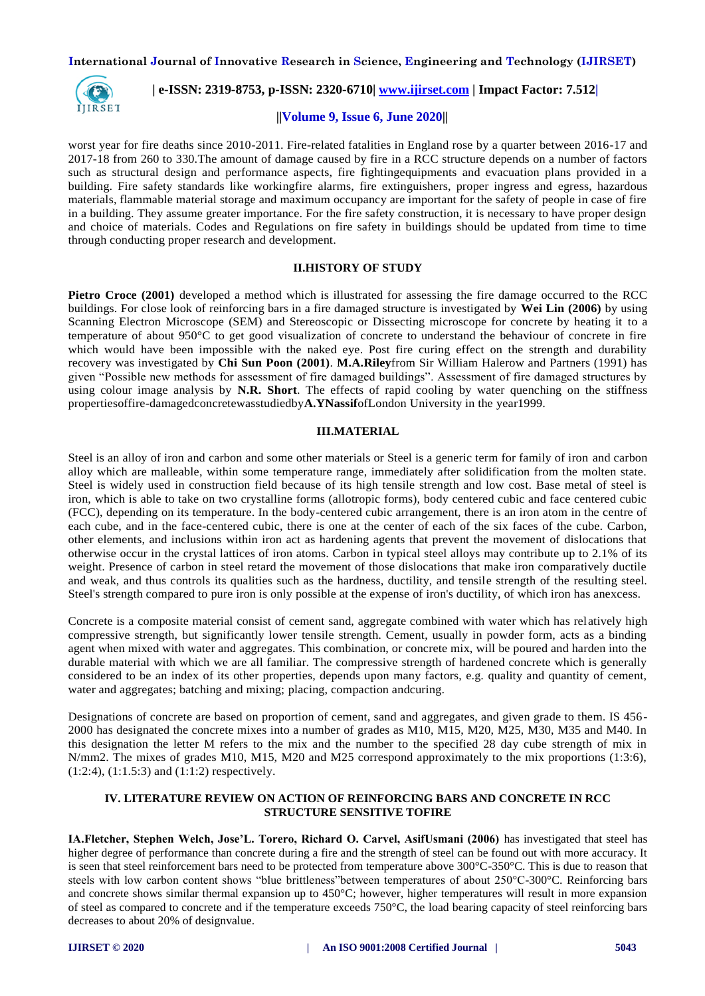

 **| e-ISSN: 2319-8753, p-ISSN: 2320-6710| [www.ijirset.com](http://www.ijirset.com/) | Impact Factor: 7.512|**

#### **||Volume 9, Issue 6, June 2020||**

worst year for fire deaths since 2010-2011. Fire-related fatalities in England rose by a quarter between 2016-17 and 2017-18 from 260 to 330.The amount of damage caused by fire in a RCC structure depends on a number of factors such as structural design and performance aspects, fire fightingequipments and evacuation plans provided in a building. Fire safety standards like workingfire alarms, fire extinguishers, proper ingress and egress, hazardous materials, flammable material storage and maximum occupancy are important for the safety of people in case of fire in a building. They assume greater importance. For the fire safety construction, it is necessary to have proper design and choice of materials. Codes and Regulations on fire safety in buildings should be updated from time to time through conducting proper research and development.

# **II.HISTORY OF STUDY**

**Pietro Croce (2001)** developed a method which is illustrated for assessing the fire damage occurred to the RCC buildings. For close look of reinforcing bars in a fire damaged structure is investigated by **Wei Lin (2006)** by using Scanning Electron Microscope (SEM) and Stereoscopic or Dissecting microscope for concrete by heating it to a temperature of about 950°C to get good visualization of concrete to understand the behaviour of concrete in fire which would have been impossible with the naked eye. Post fire curing effect on the strength and durability recovery was investigated by **Chi Sun Poon (2001)**. **M.A.Riley**from Sir William Halerow and Partners (1991) has given "Possible new methods for assessment of fire damaged buildings". Assessment of fire damaged structures by using colour image analysis by **N.R. Short**. The effects of rapid cooling by water quenching on the stiffness propertiesoffire-damagedconcretewasstudiedby**A.YNassif**ofLondon University in the year1999.

#### **III.MATERIAL**

Steel is an alloy of iron and carbon and some other materials or Steel is a generic term for family of iron and carbon alloy which are malleable, within some temperature range, immediately after solidification from the molten state. Steel is widely used in construction field because of its high tensile strength and low cost. Base metal of steel is iron, which is able to take on two crystalline forms (allotropic forms), body centered cubic and face centered cubic (FCC), depending on its temperature. In the body-centered cubic arrangement, there is an iron atom in the centre of each cube, and in the face-centered cubic, there is one at the center of each of the six faces of the cube. Carbon, other elements, and inclusions within iron act as hardening agents that prevent the movement of dislocations that otherwise occur in the crystal lattices of iron atoms. Carbon in typical steel alloys may contribute up to 2.1% of its weight. Presence of carbon in steel retard the movement of those dislocations that make iron comparatively ductile and weak, and thus controls its qualities such as the hardness, ductility, and tensile strength of the resulting steel. Steel's strength compared to pure iron is only possible at the expense of iron's ductility, of which iron has anexcess.

Concrete is a composite material consist of cement sand, aggregate combined with water which has relatively high compressive strength, but significantly lower tensile strength. Cement, usually in powder form, acts as a binding agent when mixed with water and aggregates. This combination, or concrete mix, will be poured and harden into the durable material with which we are all familiar. The compressive strength of hardened concrete which is generally considered to be an index of its other properties, depends upon many factors, e.g. quality and quantity of cement, water and aggregates; batching and mixing; placing, compaction andcuring.

Designations of concrete are based on proportion of cement, sand and aggregates, and given grade to them. IS 456- 2000 has designated the concrete mixes into a number of grades as M10, M15, M20, M25, M30, M35 and M40. In this designation the letter M refers to the mix and the number to the specified 28 day cube strength of mix in N/mm2. The mixes of grades M10, M15, M20 and M25 correspond approximately to the mix proportions (1:3:6),  $(1:2:4)$ ,  $(1:1.5:3)$  and  $(1:1:2)$  respectively.

# **IV. LITERATURE REVIEW ON ACTION OF REINFORCING BARS AND CONCRETE IN RCC STRUCTURE SENSITIVE TOFIRE**

**IA.Fletcher, Stephen Welch, Jose'L. Torero, Richard O. Carvel, AsifUsmani (2006)** has investigated that steel has higher degree of performance than concrete during a fire and the strength of steel can be found out with more accuracy. It is seen that steel reinforcement bars need to be protected from temperature above 300°C-350°C. This is due to reason that steels with low carbon content shows "blue brittleness"between temperatures of about 250°C-300°C. Reinforcing bars and concrete shows similar thermal expansion up to 450°C; however, higher temperatures will result in more expansion of steel as compared to concrete and if the temperature exceeds  $750^{\circ}$ C, the load bearing capacity of steel reinforcing bars decreases to about 20% of designvalue.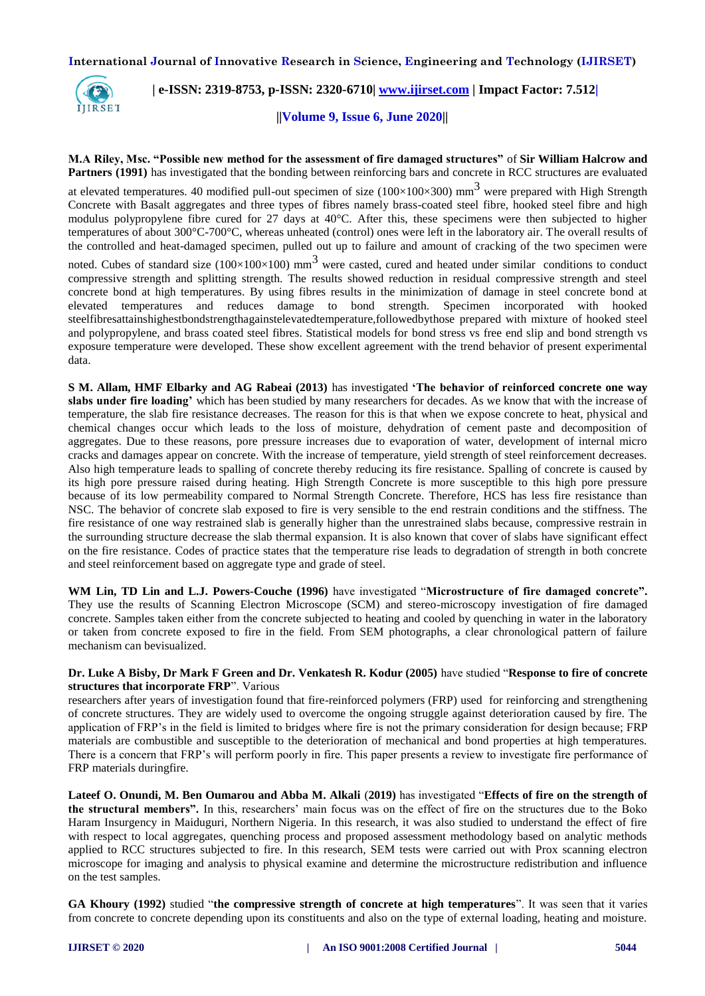

 **| e-ISSN: 2319-8753, p-ISSN: 2320-6710| [www.ijirset.com](http://www.ijirset.com/) | Impact Factor: 7.512|**

 **||Volume 9, Issue 6, June 2020||** 

# **M.A Riley, Msc. "Possible new method for the assessment of fire damaged structures"** of **Sir William Halcrow and Partners (1991)** has investigated that the bonding between reinforcing bars and concrete in RCC structures are evaluated

at elevated temperatures. 40 modified pull-out specimen of size (100×100×300) mm<sup>3</sup> were prepared with High Strength Concrete with Basalt aggregates and three types of fibres namely brass-coated steel fibre, hooked steel fibre and high modulus polypropylene fibre cured for 27 days at 40°C. After this, these specimens were then subjected to higher temperatures of about 300°C-700°C, whereas unheated (control) ones were left in the laboratory air. The overall results of the controlled and heat-damaged specimen, pulled out up to failure and amount of cracking of the two specimen were

noted. Cubes of standard size (100×100×100) mm<sup>3</sup> were casted, cured and heated under similar conditions to conduct compressive strength and splitting strength. The results showed reduction in residual compressive strength and steel concrete bond at high temperatures. By using fibres results in the minimization of damage in steel concrete bond at elevated temperatures and reduces damage to bond strength. Specimen incorporated with hooked steelfibresattainshighestbondstrengthagainstelevatedtemperature,followedbythose prepared with mixture of hooked steel and polypropylene, and brass coated steel fibres. Statistical models for bond stress vs free end slip and bond strength vs exposure temperature were developed. These show excellent agreement with the trend behavior of present experimental data.

**S M. Allam, HMF Elbarky and AG Rabeai (2013)** has investigated **'The behavior of reinforced concrete one way slabs under fire loading'** which has been studied by many researchers for decades. As we know that with the increase of temperature, the slab fire resistance decreases. The reason for this is that when we expose concrete to heat, physical and chemical changes occur which leads to the loss of moisture, dehydration of cement paste and decomposition of aggregates. Due to these reasons, pore pressure increases due to evaporation of water, development of internal micro cracks and damages appear on concrete. With the increase of temperature, yield strength of steel reinforcement decreases. Also high temperature leads to spalling of concrete thereby reducing its fire resistance. Spalling of concrete is caused by its high pore pressure raised during heating. High Strength Concrete is more susceptible to this high pore pressure because of its low permeability compared to Normal Strength Concrete. Therefore, HCS has less fire resistance than NSC. The behavior of concrete slab exposed to fire is very sensible to the end restrain conditions and the stiffness. The fire resistance of one way restrained slab is generally higher than the unrestrained slabs because, compressive restrain in the surrounding structure decrease the slab thermal expansion. It is also known that cover of slabs have significant effect on the fire resistance. Codes of practice states that the temperature rise leads to degradation of strength in both concrete and steel reinforcement based on aggregate type and grade of steel.

**WM Lin, TD Lin and L.J. Powers-Couche (1996)** have investigated "**Microstructure of fire damaged concrete".**  They use the results of Scanning Electron Microscope (SCM) and stereo-microscopy investigation of fire damaged concrete. Samples taken either from the concrete subjected to heating and cooled by quenching in water in the laboratory or taken from concrete exposed to fire in the field. From SEM photographs, a clear chronological pattern of failure mechanism can bevisualized.

# **Dr. Luke A Bisby, Dr Mark F Green and Dr. Venkatesh R. Kodur (2005)** have studied "**Response to fire of concrete structures that incorporate FRP**". Various

researchers after years of investigation found that fire-reinforced polymers (FRP) used for reinforcing and strengthening of concrete structures. They are widely used to overcome the ongoing struggle against deterioration caused by fire. The application of FRP's in the field is limited to bridges where fire is not the primary consideration for design because; FRP materials are combustible and susceptible to the deterioration of mechanical and bond properties at high temperatures. There is a concern that FRP's will perform poorly in fire. This paper presents a review to investigate fire performance of FRP materials duringfire.

**Lateef O. Onundi, M. Ben Oumarou and Abba M. Alkali** (**2019)** has investigated "**Effects of fire on the strength of the structural members".** In this, researchers' main focus was on the effect of fire on the structures due to the Boko Haram Insurgency in Maiduguri, Northern Nigeria. In this research, it was also studied to understand the effect of fire with respect to local aggregates, quenching process and proposed assessment methodology based on analytic methods applied to RCC structures subjected to fire. In this research, SEM tests were carried out with Prox scanning electron microscope for imaging and analysis to physical examine and determine the microstructure redistribution and influence on the test samples.

**GA Khoury (1992)** studied "**the compressive strength of concrete at high temperatures**". It was seen that it varies from concrete to concrete depending upon its constituents and also on the type of external loading, heating and moisture.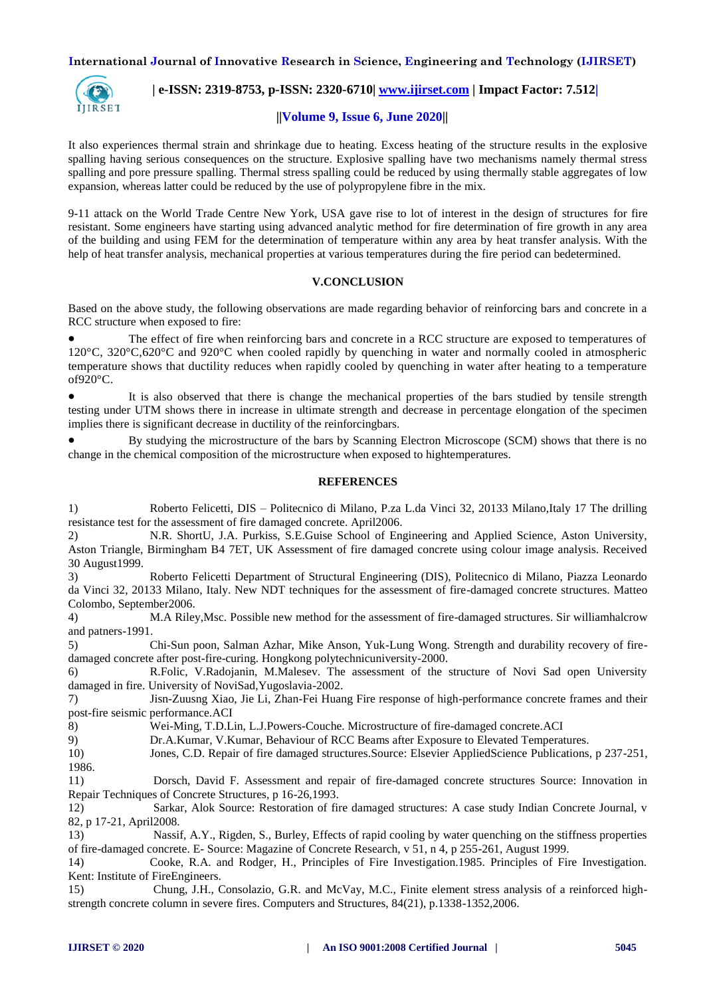

 **| e-ISSN: 2319-8753, p-ISSN: 2320-6710| [www.ijirset.com](http://www.ijirset.com/) | Impact Factor: 7.512|**

#### **||Volume 9, Issue 6, June 2020||**

It also experiences thermal strain and shrinkage due to heating. Excess heating of the structure results in the explosive spalling having serious consequences on the structure. Explosive spalling have two mechanisms namely thermal stress spalling and pore pressure spalling. Thermal stress spalling could be reduced by using thermally stable aggregates of low expansion, whereas latter could be reduced by the use of polypropylene fibre in the mix.

9-11 attack on the World Trade Centre New York, USA gave rise to lot of interest in the design of structures for fire resistant. Some engineers have starting using advanced analytic method for fire determination of fire growth in any area of the building and using FEM for the determination of temperature within any area by heat transfer analysis. With the help of heat transfer analysis, mechanical properties at various temperatures during the fire period can bedetermined.

#### **V.CONCLUSION**

Based on the above study, the following observations are made regarding behavior of reinforcing bars and concrete in a RCC structure when exposed to fire:

 The effect of fire when reinforcing bars and concrete in a RCC structure are exposed to temperatures of 120°C, 320°C,620°C and 920°C when cooled rapidly by quenching in water and normally cooled in atmospheric temperature shows that ductility reduces when rapidly cooled by quenching in water after heating to a temperature of920°C.

 It is also observed that there is change the mechanical properties of the bars studied by tensile strength testing under UTM shows there in increase in ultimate strength and decrease in percentage elongation of the specimen implies there is significant decrease in ductility of the reinforcingbars.

 By studying the microstructure of the bars by Scanning Electron Microscope (SCM) shows that there is no change in the chemical composition of the microstructure when exposed to hightemperatures.

#### **REFERENCES**

1) Roberto Felicetti, DIS – Politecnico di Milano, P.za L.da Vinci 32, 20133 Milano,Italy 17 The drilling resistance test for the assessment of fire damaged concrete. April2006.

2) N.R. ShortU, J.A. Purkiss, S.E.Guise School of Engineering and Applied Science, Aston University, Aston Triangle, Birmingham B4 7ET, UK Assessment of fire damaged concrete using colour image analysis. Received 30 August1999.

3) Roberto Felicetti Department of Structural Engineering (DIS), Politecnico di Milano, Piazza Leonardo da Vinci 32, 20133 Milano, Italy. New NDT techniques for the assessment of fire-damaged concrete structures. Matteo Colombo, September2006.

4) M.A Riley,Msc. Possible new method for the assessment of fire-damaged structures. Sir williamhalcrow and patners-1991.

5) Chi-Sun poon, Salman Azhar, Mike Anson, Yuk-Lung Wong. Strength and durability recovery of firedamaged concrete after post-fire-curing. Hongkong polytechnicuniversity-2000.

6) R.Folic, V.Radojanin, M.Malesev. The assessment of the structure of Novi Sad open University damaged in fire. University of NoviSad,Yugoslavia-2002.

7) Jisn-Zuusng Xiao, Jie Li, Zhan-Fei Huang Fire response of high-performance concrete frames and their post-fire seismic performance.ACI

8) Wei-Ming, T.D.Lin, L.J.Powers-Couche. Microstructure of fire-damaged concrete.ACI

9) Dr.A.Kumar, V.Kumar, Behaviour of RCC Beams after Exposure to Elevated Temperatures.

10) Jones, C.D. Repair of fire damaged structures.Source: Elsevier AppliedScience Publications, p 237-251, 1986.

11) Dorsch, David F. Assessment and repair of fire-damaged concrete structures Source: Innovation in Repair Techniques of Concrete Structures, p 16-26,1993.

12) Sarkar, Alok Source: Restoration of fire damaged structures: A case study Indian Concrete Journal, v 82, p 17-21, April2008.

13) Nassif, A.Y., Rigden, S., Burley, Effects of rapid cooling by water quenching on the stiffness properties of fire-damaged concrete. E- Source: Magazine of Concrete Research, v 51, n 4, p 255-261, August 1999.

14) Cooke, R.A. and Rodger, H., Principles of Fire Investigation.1985. Principles of Fire Investigation. Kent: Institute of FireEngineers.

15) Chung, J.H., Consolazio, G.R. and McVay, M.C., Finite element stress analysis of a reinforced highstrength concrete column in severe fires. Computers and Structures, 84(21), p.1338-1352,2006.